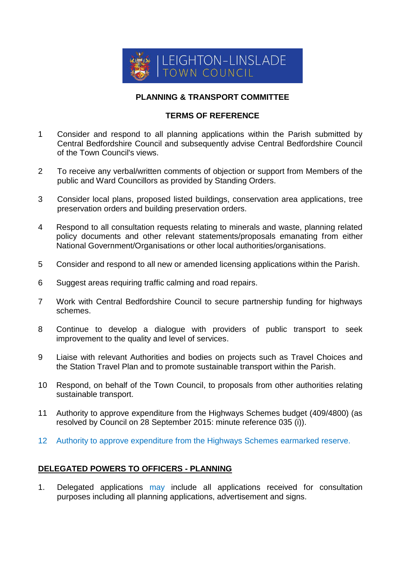

## **PLANNING & TRANSPORT COMMITTEE**

## **TERMS OF REFERENCE**

- 1 Consider and respond to all planning applications within the Parish submitted by Central Bedfordshire Council and subsequently advise Central Bedfordshire Council of the Town Council's views.
- 2 To receive any verbal/written comments of objection or support from Members of the public and Ward Councillors as provided by Standing Orders.
- 3 Consider local plans, proposed listed buildings, conservation area applications, tree preservation orders and building preservation orders.
- 4 Respond to all consultation requests relating to minerals and waste, planning related policy documents and other relevant statements/proposals emanating from either National Government/Organisations or other local authorities/organisations.
- 5 Consider and respond to all new or amended licensing applications within the Parish.
- 6 Suggest areas requiring traffic calming and road repairs.
- 7 Work with Central Bedfordshire Council to secure partnership funding for highways schemes.
- 8 Continue to develop a dialogue with providers of public transport to seek improvement to the quality and level of services.
- 9 Liaise with relevant Authorities and bodies on projects such as Travel Choices and the Station Travel Plan and to promote sustainable transport within the Parish.
- 10 Respond, on behalf of the Town Council, to proposals from other authorities relating sustainable transport.
- 11 Authority to approve expenditure from the Highways Schemes budget (409/4800) (as resolved by Council on 28 September 2015: minute reference 035 (i)).
- 12 Authority to approve expenditure from the Highways Schemes earmarked reserve.

## **DELEGATED POWERS TO OFFICERS - PLANNING**

1. Delegated applications may include all applications received for consultation purposes including all planning applications, advertisement and signs.